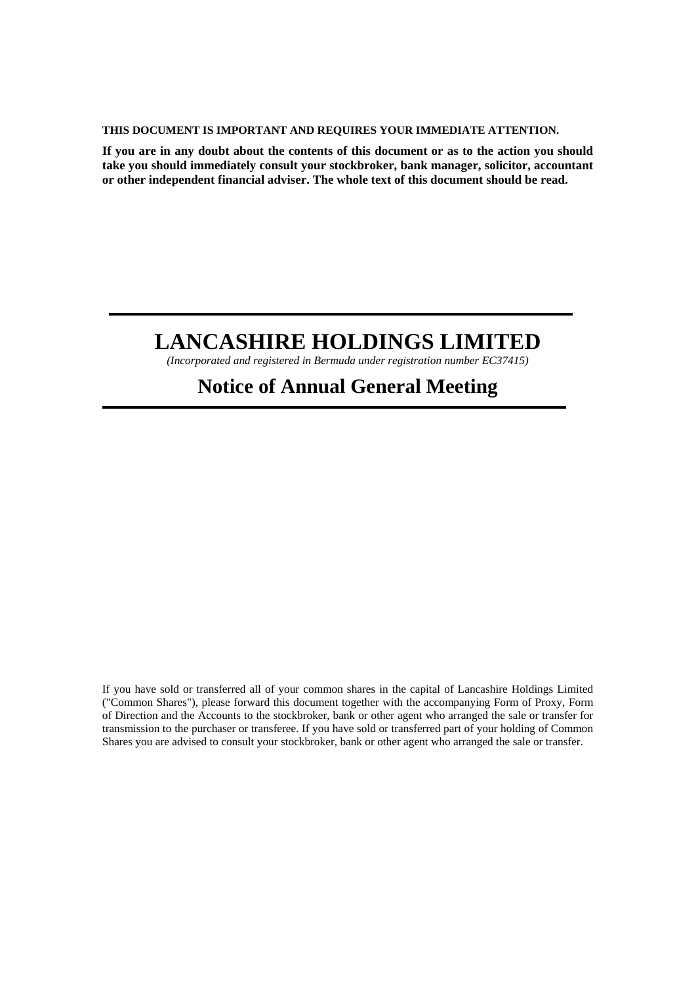#### **THIS DOCUMENT IS IMPORTANT AND REQUIRES YOUR IMMEDIATE ATTENTION.**

**If you are in any doubt about the contents of this document or as to the action you should take you should immediately consult your stockbroker, bank manager, solicitor, accountant or other independent financial adviser. The whole text of this document should be read.** 

# **LANCASHIRE HOLDINGS LIMITED**

*(Incorporated and registered in Bermuda under registration number EC37415)*

## **Notice of Annual General Meeting**

If you have sold or transferred all of your common shares in the capital of Lancashire Holdings Limited ("Common Shares"), please forward this document together with the accompanying Form of Proxy, Form of Direction and the Accounts to the stockbroker, bank or other agent who arranged the sale or transfer for transmission to the purchaser or transferee. If you have sold or transferred part of your holding of Common Shares you are advised to consult your stockbroker, bank or other agent who arranged the sale or transfer.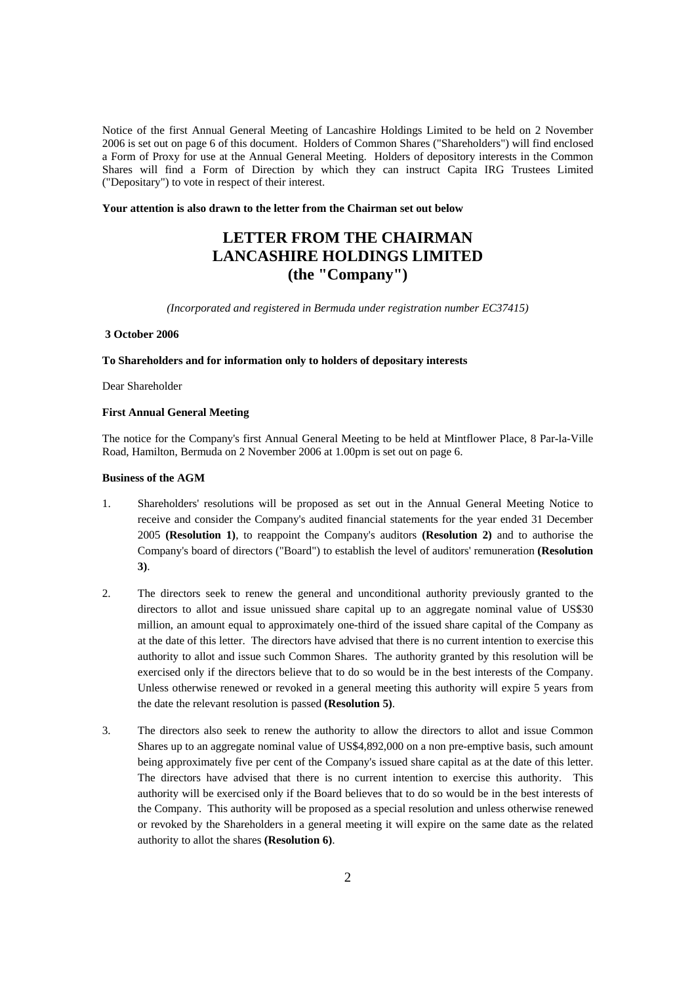Notice of the first Annual General Meeting of Lancashire Holdings Limited to be held on 2 November 2006 is set out on page 6 of this document. Holders of Common Shares ("Shareholders") will find enclosed a Form of Proxy for use at the Annual General Meeting. Holders of depository interests in the Common Shares will find a Form of Direction by which they can instruct Capita IRG Trustees Limited ("Depositary") to vote in respect of their interest.

#### **Your attention is also drawn to the letter from the Chairman set out below**

## **LETTER FROM THE CHAIRMAN LANCASHIRE HOLDINGS LIMITED (the "Company")**

*(Incorporated and registered in Bermuda under registration number EC37415)* 

#### **3 October 2006**

#### **To Shareholders and for information only to holders of depositary interests**

Dear Shareholder

#### **First Annual General Meeting**

The notice for the Company's first Annual General Meeting to be held at Mintflower Place, 8 Par-la-Ville Road, Hamilton, Bermuda on 2 November 2006 at 1.00pm is set out on page 6.

#### **Business of the AGM**

- 1. Shareholders' resolutions will be proposed as set out in the Annual General Meeting Notice to receive and consider the Company's audited financial statements for the year ended 31 December 2005 **(Resolution 1)**, to reappoint the Company's auditors **(Resolution 2)** and to authorise the Company's board of directors ("Board") to establish the level of auditors' remuneration **(Resolution 3)**.
- 2. The directors seek to renew the general and unconditional authority previously granted to the directors to allot and issue unissued share capital up to an aggregate nominal value of US\$30 million, an amount equal to approximately one-third of the issued share capital of the Company as at the date of this letter. The directors have advised that there is no current intention to exercise this authority to allot and issue such Common Shares. The authority granted by this resolution will be exercised only if the directors believe that to do so would be in the best interests of the Company. Unless otherwise renewed or revoked in a general meeting this authority will expire 5 years from the date the relevant resolution is passed **(Resolution 5)**.
- 3. The directors also seek to renew the authority to allow the directors to allot and issue Common Shares up to an aggregate nominal value of US\$4,892,000 on a non pre-emptive basis, such amount being approximately five per cent of the Company's issued share capital as at the date of this letter. The directors have advised that there is no current intention to exercise this authority. This authority will be exercised only if the Board believes that to do so would be in the best interests of the Company. This authority will be proposed as a special resolution and unless otherwise renewed or revoked by the Shareholders in a general meeting it will expire on the same date as the related authority to allot the shares **(Resolution 6)**.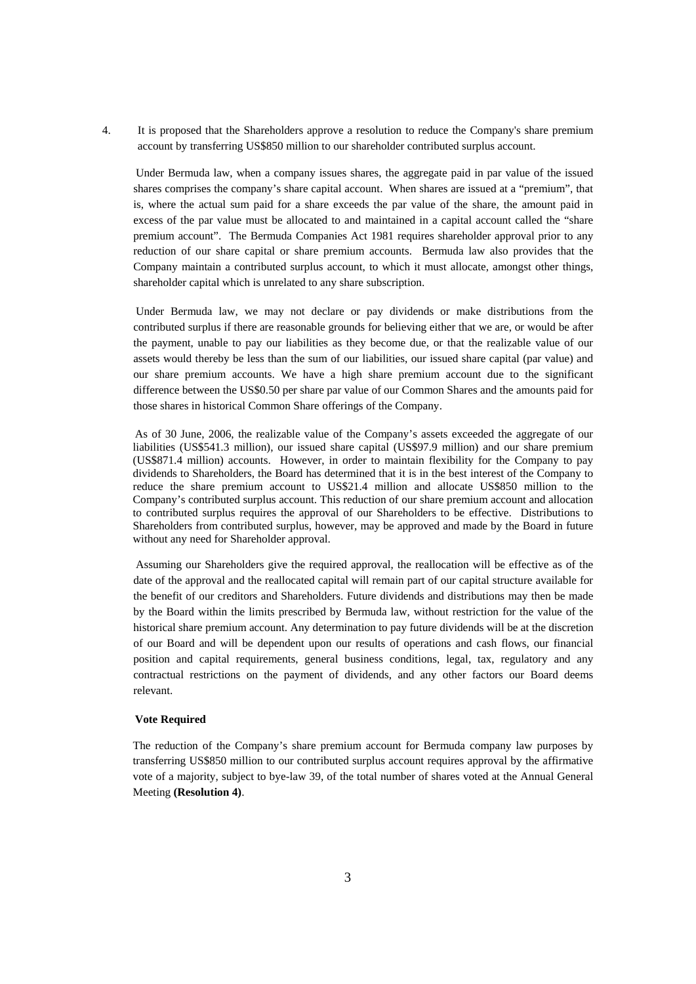4. It is proposed that the Shareholders approve a resolution to reduce the Company's share premium account by transferring US\$850 million to our shareholder contributed surplus account.

Under Bermuda law, when a company issues shares, the aggregate paid in par value of the issued shares comprises the company's share capital account. When shares are issued at a "premium", that is, where the actual sum paid for a share exceeds the par value of the share, the amount paid in excess of the par value must be allocated to and maintained in a capital account called the "share premium account". The Bermuda Companies Act 1981 requires shareholder approval prior to any reduction of our share capital or share premium accounts. Bermuda law also provides that the Company maintain a contributed surplus account, to which it must allocate, amongst other things, shareholder capital which is unrelated to any share subscription.

Under Bermuda law, we may not declare or pay dividends or make distributions from the contributed surplus if there are reasonable grounds for believing either that we are, or would be after the payment, unable to pay our liabilities as they become due, or that the realizable value of our assets would thereby be less than the sum of our liabilities, our issued share capital (par value) and our share premium accounts. We have a high share premium account due to the significant difference between the US\$0.50 per share par value of our Common Shares and the amounts paid for those shares in historical Common Share offerings of the Company.

As of 30 June, 2006, the realizable value of the Company's assets exceeded the aggregate of our liabilities (US\$541.3 million), our issued share capital (US\$97.9 million) and our share premium (US\$871.4 million) accounts. However, in order to maintain flexibility for the Company to pay dividends to Shareholders, the Board has determined that it is in the best interest of the Company to reduce the share premium account to US\$21.4 million and allocate US\$850 million to the Company's contributed surplus account. This reduction of our share premium account and allocation to contributed surplus requires the approval of our Shareholders to be effective. Distributions to Shareholders from contributed surplus, however, may be approved and made by the Board in future without any need for Shareholder approval.

Assuming our Shareholders give the required approval, the reallocation will be effective as of the date of the approval and the reallocated capital will remain part of our capital structure available for the benefit of our creditors and Shareholders. Future dividends and distributions may then be made by the Board within the limits prescribed by Bermuda law, without restriction for the value of the historical share premium account. Any determination to pay future dividends will be at the discretion of our Board and will be dependent upon our results of operations and cash flows, our financial position and capital requirements, general business conditions, legal, tax, regulatory and any contractual restrictions on the payment of dividends, and any other factors our Board deems relevant.

#### **Vote Required**

The reduction of the Company's share premium account for Bermuda company law purposes by transferring US\$850 million to our contributed surplus account requires approval by the affirmative vote of a majority, subject to bye-law 39, of the total number of shares voted at the Annual General Meeting **(Resolution 4)**.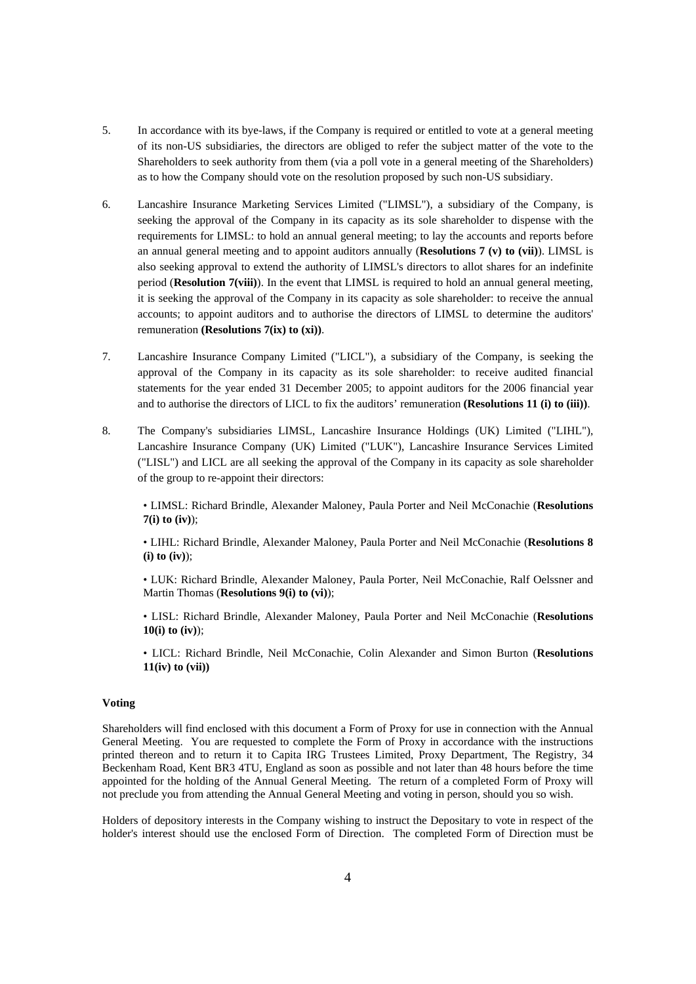- 5. In accordance with its bye-laws, if the Company is required or entitled to vote at a general meeting of its non-US subsidiaries, the directors are obliged to refer the subject matter of the vote to the Shareholders to seek authority from them (via a poll vote in a general meeting of the Shareholders) as to how the Company should vote on the resolution proposed by such non-US subsidiary.
- 6. Lancashire Insurance Marketing Services Limited ("LIMSL"), a subsidiary of the Company, is seeking the approval of the Company in its capacity as its sole shareholder to dispense with the requirements for LIMSL: to hold an annual general meeting; to lay the accounts and reports before an annual general meeting and to appoint auditors annually (**Resolutions 7 (v) to (vii)**). LIMSL is also seeking approval to extend the authority of LIMSL's directors to allot shares for an indefinite period (**Resolution 7(viii)**). In the event that LIMSL is required to hold an annual general meeting, it is seeking the approval of the Company in its capacity as sole shareholder: to receive the annual accounts; to appoint auditors and to authorise the directors of LIMSL to determine the auditors' remuneration **(Resolutions 7(ix) to (xi))**.
- 7. Lancashire Insurance Company Limited ("LICL"), a subsidiary of the Company, is seeking the approval of the Company in its capacity as its sole shareholder: to receive audited financial statements for the year ended 31 December 2005; to appoint auditors for the 2006 financial year and to authorise the directors of LICL to fix the auditors' remuneration **(Resolutions 11 (i) to (iii))**.
- 8. The Company's subsidiaries LIMSL, Lancashire Insurance Holdings (UK) Limited ("LIHL"), Lancashire Insurance Company (UK) Limited ("LUK"), Lancashire Insurance Services Limited ("LISL") and LICL are all seeking the approval of the Company in its capacity as sole shareholder of the group to re-appoint their directors:

 • LIMSL: Richard Brindle, Alexander Maloney, Paula Porter and Neil McConachie (**Resolutions 7(i) to (iv)**);

 • LIHL: Richard Brindle, Alexander Maloney, Paula Porter and Neil McConachie (**Resolutions 8 (i) to (iv)**);

• LUK: Richard Brindle, Alexander Maloney, Paula Porter, Neil McConachie, Ralf Oelssner and Martin Thomas (**Resolutions 9(i) to (vi)**);

 • LISL: Richard Brindle, Alexander Maloney, Paula Porter and Neil McConachie (**Resolutions 10(i) to (iv)**);

 • LICL: Richard Brindle, Neil McConachie, Colin Alexander and Simon Burton (**Resolutions 11(iv) to (vii))**

#### **Voting**

Shareholders will find enclosed with this document a Form of Proxy for use in connection with the Annual General Meeting. You are requested to complete the Form of Proxy in accordance with the instructions printed thereon and to return it to Capita IRG Trustees Limited, Proxy Department, The Registry, 34 Beckenham Road, Kent BR3 4TU, England as soon as possible and not later than 48 hours before the time appointed for the holding of the Annual General Meeting. The return of a completed Form of Proxy will not preclude you from attending the Annual General Meeting and voting in person, should you so wish.

Holders of depository interests in the Company wishing to instruct the Depositary to vote in respect of the holder's interest should use the enclosed Form of Direction. The completed Form of Direction must be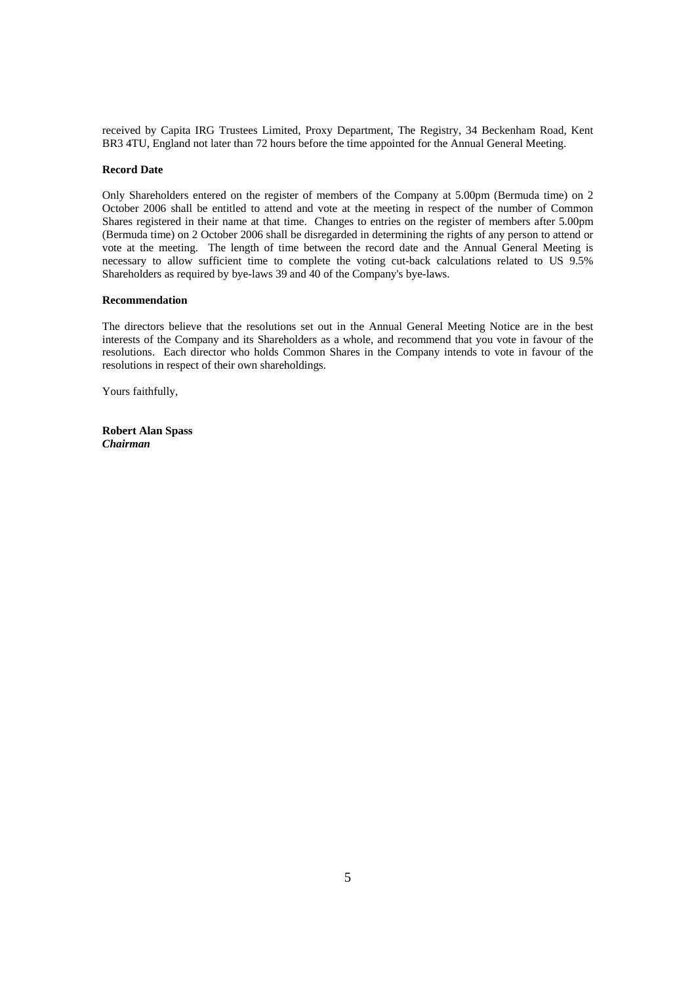received by Capita IRG Trustees Limited, Proxy Department, The Registry, 34 Beckenham Road, Kent BR3 4TU, England not later than 72 hours before the time appointed for the Annual General Meeting.

#### **Record Date**

Only Shareholders entered on the register of members of the Company at 5.00pm (Bermuda time) on 2 October 2006 shall be entitled to attend and vote at the meeting in respect of the number of Common Shares registered in their name at that time. Changes to entries on the register of members after 5.00pm (Bermuda time) on 2 October 2006 shall be disregarded in determining the rights of any person to attend or vote at the meeting. The length of time between the record date and the Annual General Meeting is necessary to allow sufficient time to complete the voting cut-back calculations related to US 9.5% Shareholders as required by bye-laws 39 and 40 of the Company's bye-laws.

#### **Recommendation**

The directors believe that the resolutions set out in the Annual General Meeting Notice are in the best interests of the Company and its Shareholders as a whole, and recommend that you vote in favour of the resolutions. Each director who holds Common Shares in the Company intends to vote in favour of the resolutions in respect of their own shareholdings.

Yours faithfully,

**Robert Alan Spass**  *Chairman*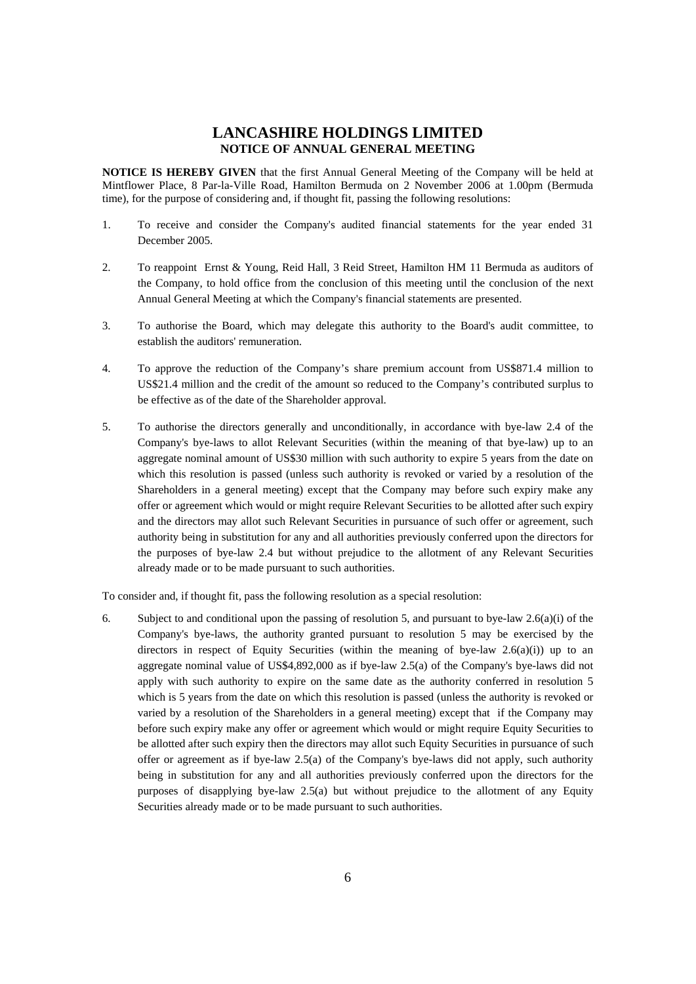## **LANCASHIRE HOLDINGS LIMITED NOTICE OF ANNUAL GENERAL MEETING**

**NOTICE IS HEREBY GIVEN** that the first Annual General Meeting of the Company will be held at Mintflower Place, 8 Par-la-Ville Road, Hamilton Bermuda on 2 November 2006 at 1.00pm (Bermuda time), for the purpose of considering and, if thought fit, passing the following resolutions:

- 1. To receive and consider the Company's audited financial statements for the year ended 31 December 2005.
- 2. To reappoint Ernst & Young, Reid Hall, 3 Reid Street, Hamilton HM 11 Bermuda as auditors of the Company, to hold office from the conclusion of this meeting until the conclusion of the next Annual General Meeting at which the Company's financial statements are presented.
- 3. To authorise the Board, which may delegate this authority to the Board's audit committee, to establish the auditors' remuneration.
- 4. To approve the reduction of the Company's share premium account from US\$871.4 million to US\$21.4 million and the credit of the amount so reduced to the Company's contributed surplus to be effective as of the date of the Shareholder approval.
- 5. To authorise the directors generally and unconditionally, in accordance with bye-law 2.4 of the Company's bye-laws to allot Relevant Securities (within the meaning of that bye-law) up to an aggregate nominal amount of US\$30 million with such authority to expire 5 years from the date on which this resolution is passed (unless such authority is revoked or varied by a resolution of the Shareholders in a general meeting) except that the Company may before such expiry make any offer or agreement which would or might require Relevant Securities to be allotted after such expiry and the directors may allot such Relevant Securities in pursuance of such offer or agreement, such authority being in substitution for any and all authorities previously conferred upon the directors for the purposes of bye-law 2.4 but without prejudice to the allotment of any Relevant Securities already made or to be made pursuant to such authorities.

To consider and, if thought fit, pass the following resolution as a special resolution:

6. Subject to and conditional upon the passing of resolution 5, and pursuant to bye-law 2.6(a)(i) of the Company's bye-laws, the authority granted pursuant to resolution 5 may be exercised by the directors in respect of Equity Securities (within the meaning of bye-law  $2.6(a)(i)$ ) up to an aggregate nominal value of US\$4,892,000 as if bye-law 2.5(a) of the Company's bye-laws did not apply with such authority to expire on the same date as the authority conferred in resolution 5 which is 5 years from the date on which this resolution is passed (unless the authority is revoked or varied by a resolution of the Shareholders in a general meeting) except that if the Company may before such expiry make any offer or agreement which would or might require Equity Securities to be allotted after such expiry then the directors may allot such Equity Securities in pursuance of such offer or agreement as if bye-law 2.5(a) of the Company's bye-laws did not apply, such authority being in substitution for any and all authorities previously conferred upon the directors for the purposes of disapplying bye-law  $2.5(a)$  but without prejudice to the allotment of any Equity Securities already made or to be made pursuant to such authorities.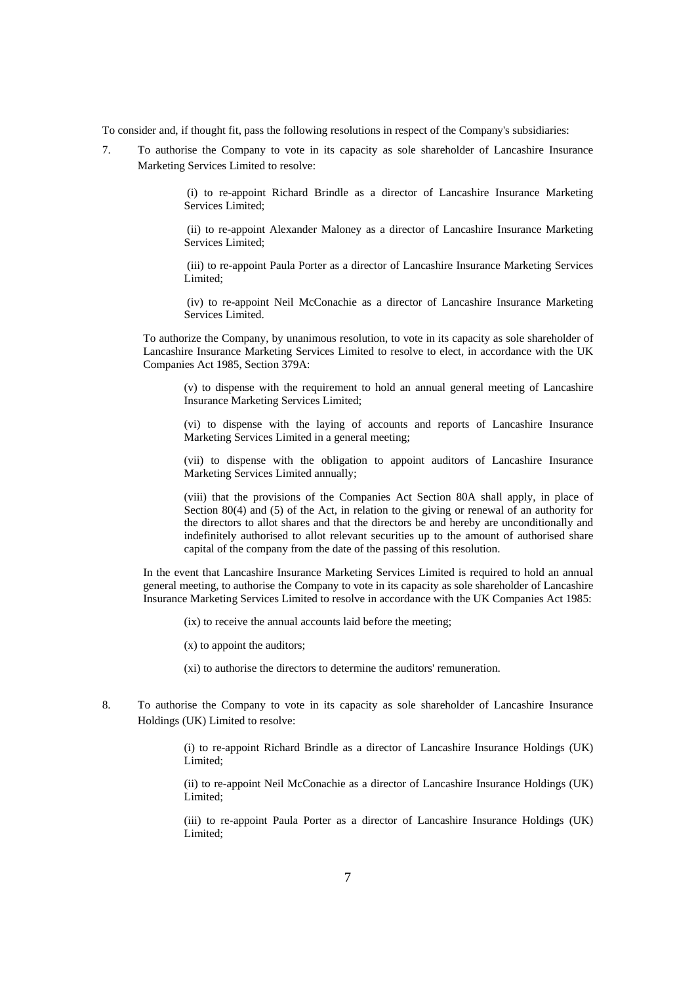To consider and, if thought fit, pass the following resolutions in respect of the Company's subsidiaries:

7. To authorise the Company to vote in its capacity as sole shareholder of Lancashire Insurance Marketing Services Limited to resolve:

> (i) to re-appoint Richard Brindle as a director of Lancashire Insurance Marketing Services Limited;

> (ii) to re-appoint Alexander Maloney as a director of Lancashire Insurance Marketing Services Limited;

> (iii) to re-appoint Paula Porter as a director of Lancashire Insurance Marketing Services Limited;

> (iv) to re-appoint Neil McConachie as a director of Lancashire Insurance Marketing Services Limited.

To authorize the Company, by unanimous resolution, to vote in its capacity as sole shareholder of Lancashire Insurance Marketing Services Limited to resolve to elect, in accordance with the UK Companies Act 1985, Section 379A:

(v) to dispense with the requirement to hold an annual general meeting of Lancashire Insurance Marketing Services Limited;

(vi) to dispense with the laying of accounts and reports of Lancashire Insurance Marketing Services Limited in a general meeting;

(vii) to dispense with the obligation to appoint auditors of Lancashire Insurance Marketing Services Limited annually;

(viii) that the provisions of the Companies Act Section 80A shall apply, in place of Section 80(4) and (5) of the Act, in relation to the giving or renewal of an authority for the directors to allot shares and that the directors be and hereby are unconditionally and indefinitely authorised to allot relevant securities up to the amount of authorised share capital of the company from the date of the passing of this resolution.

In the event that Lancashire Insurance Marketing Services Limited is required to hold an annual general meeting, to authorise the Company to vote in its capacity as sole shareholder of Lancashire Insurance Marketing Services Limited to resolve in accordance with the UK Companies Act 1985:

(ix) to receive the annual accounts laid before the meeting;

(x) to appoint the auditors;

(xi) to authorise the directors to determine the auditors' remuneration.

8. To authorise the Company to vote in its capacity as sole shareholder of Lancashire Insurance Holdings (UK) Limited to resolve:

> (i) to re-appoint Richard Brindle as a director of Lancashire Insurance Holdings (UK) Limited;

> (ii) to re-appoint Neil McConachie as a director of Lancashire Insurance Holdings (UK) Limited;

> (iii) to re-appoint Paula Porter as a director of Lancashire Insurance Holdings (UK) Limited;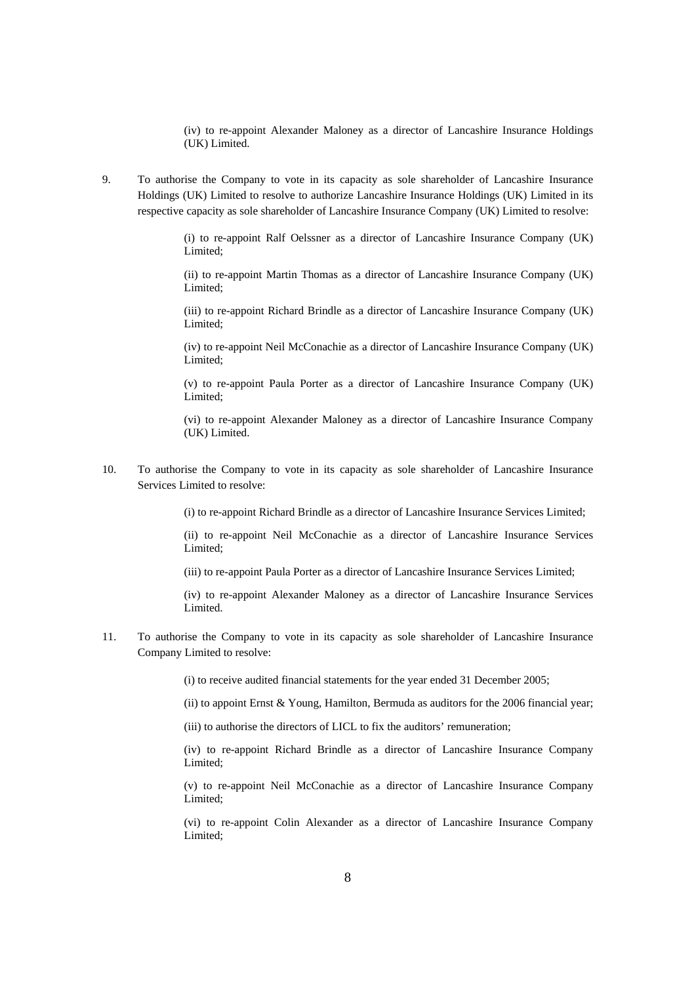(iv) to re-appoint Alexander Maloney as a director of Lancashire Insurance Holdings (UK) Limited.

9. To authorise the Company to vote in its capacity as sole shareholder of Lancashire Insurance Holdings (UK) Limited to resolve to authorize Lancashire Insurance Holdings (UK) Limited in its respective capacity as sole shareholder of Lancashire Insurance Company (UK) Limited to resolve:

> (i) to re-appoint Ralf Oelssner as a director of Lancashire Insurance Company (UK) Limited;

> (ii) to re-appoint Martin Thomas as a director of Lancashire Insurance Company (UK) Limited;

> (iii) to re-appoint Richard Brindle as a director of Lancashire Insurance Company (UK) Limited;

> (iv) to re-appoint Neil McConachie as a director of Lancashire Insurance Company (UK) Limited;

> (v) to re-appoint Paula Porter as a director of Lancashire Insurance Company (UK) Limited;

> (vi) to re-appoint Alexander Maloney as a director of Lancashire Insurance Company (UK) Limited.

10. To authorise the Company to vote in its capacity as sole shareholder of Lancashire Insurance Services Limited to resolve:

(i) to re-appoint Richard Brindle as a director of Lancashire Insurance Services Limited;

(ii) to re-appoint Neil McConachie as a director of Lancashire Insurance Services Limited;

(iii) to re-appoint Paula Porter as a director of Lancashire Insurance Services Limited;

(iv) to re-appoint Alexander Maloney as a director of Lancashire Insurance Services Limited.

11. To authorise the Company to vote in its capacity as sole shareholder of Lancashire Insurance Company Limited to resolve:

(i) to receive audited financial statements for the year ended 31 December 2005;

(ii) to appoint Ernst & Young, Hamilton, Bermuda as auditors for the 2006 financial year;

(iii) to authorise the directors of LICL to fix the auditors' remuneration;

(iv) to re-appoint Richard Brindle as a director of Lancashire Insurance Company Limited;

(v) to re-appoint Neil McConachie as a director of Lancashire Insurance Company Limited;

(vi) to re-appoint Colin Alexander as a director of Lancashire Insurance Company Limited;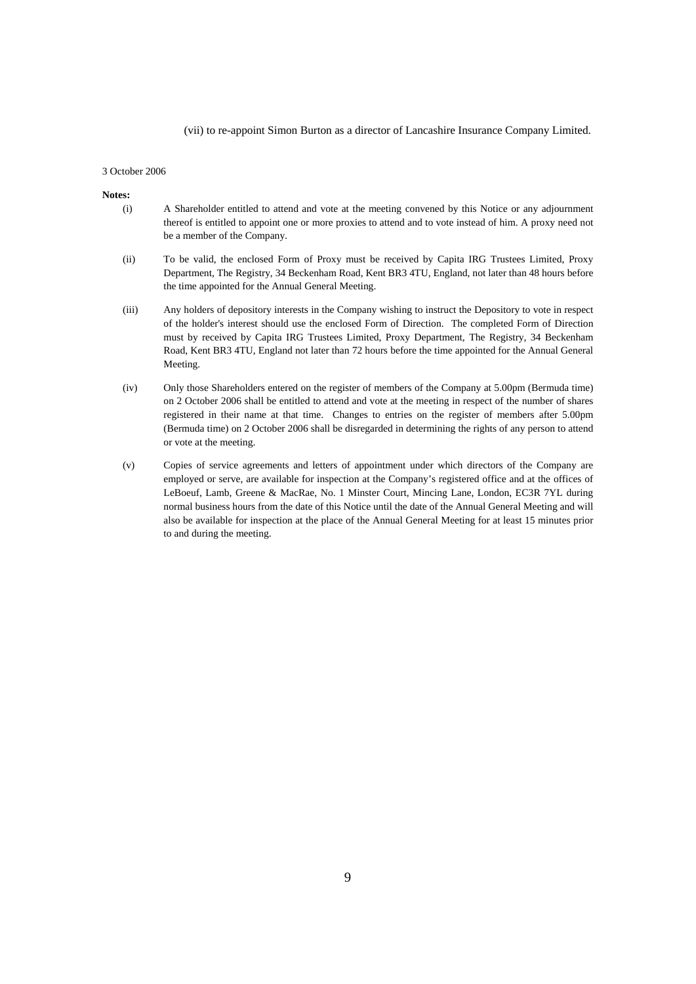#### (vii) to re-appoint Simon Burton as a director of Lancashire Insurance Company Limited.

#### 3 October 2006

#### **Notes:**

- (i) A Shareholder entitled to attend and vote at the meeting convened by this Notice or any adjournment thereof is entitled to appoint one or more proxies to attend and to vote instead of him. A proxy need not be a member of the Company.
- (ii) To be valid, the enclosed Form of Proxy must be received by Capita IRG Trustees Limited, Proxy Department, The Registry, 34 Beckenham Road, Kent BR3 4TU, England, not later than 48 hours before the time appointed for the Annual General Meeting.
- (iii) Any holders of depository interests in the Company wishing to instruct the Depository to vote in respect of the holder's interest should use the enclosed Form of Direction. The completed Form of Direction must by received by Capita IRG Trustees Limited, Proxy Department, The Registry, 34 Beckenham Road, Kent BR3 4TU, England not later than 72 hours before the time appointed for the Annual General Meeting.
- (iv) Only those Shareholders entered on the register of members of the Company at 5.00pm (Bermuda time) on 2 October 2006 shall be entitled to attend and vote at the meeting in respect of the number of shares registered in their name at that time. Changes to entries on the register of members after 5.00pm (Bermuda time) on 2 October 2006 shall be disregarded in determining the rights of any person to attend or vote at the meeting.
- (v) Copies of service agreements and letters of appointment under which directors of the Company are employed or serve, are available for inspection at the Company's registered office and at the offices of LeBoeuf, Lamb, Greene & MacRae, No. 1 Minster Court, Mincing Lane, London, EC3R 7YL during normal business hours from the date of this Notice until the date of the Annual General Meeting and will also be available for inspection at the place of the Annual General Meeting for at least 15 minutes prior to and during the meeting.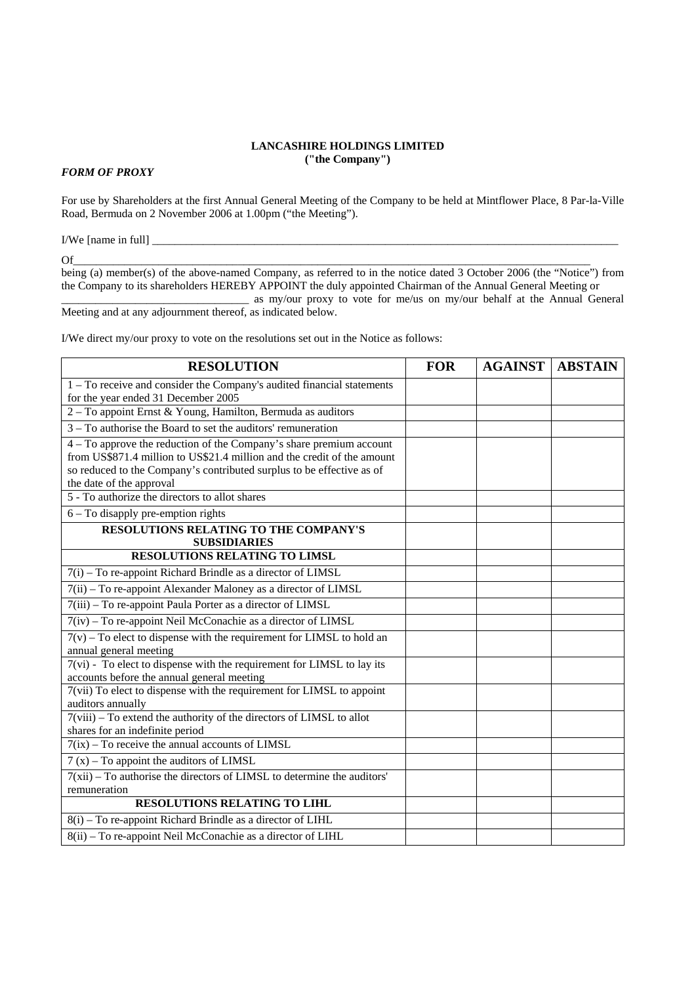### **LANCASHIRE HOLDINGS LIMITED ("the Company")**

## *FORM OF PROXY*

For use by Shareholders at the first Annual General Meeting of the Company to be held at Mintflower Place, 8 Par-la-Ville Road, Bermuda on 2 November 2006 at 1.00pm ("the Meeting").

I/We [name in full]

 $\mathbf{Of}$   $\hspace{0.2cm}$   $\hspace{0.2cm}$   $\hspace{0.2cm}$   $\hspace{0.2cm}$   $\hspace{0.2cm}$   $\hspace{0.2cm}$   $\hspace{0.2cm}$   $\hspace{0.2cm}$   $\hspace{0.2cm}$   $\hspace{0.2cm}$   $\hspace{0.2cm}$   $\hspace{0.2cm}$   $\hspace{0.2cm}$   $\hspace{0.2cm}$   $\hspace{0.2cm}$   $\hspace{0.2cm}$   $\hspace{0.2cm}$   $\hspace{0.$ 

being (a) member(s) of the above-named Company, as referred to in the notice dated 3 October 2006 (the "Notice") from the Company to its shareholders HEREBY APPOINT the duly appointed Chairman of the Annual General Meeting or \_\_\_\_\_\_\_\_\_\_\_\_\_\_\_\_\_\_\_\_\_\_\_\_\_\_\_\_\_\_\_\_\_ as my/our proxy to vote for me/us on my/our behalf at the Annual General

Meeting and at any adjournment thereof, as indicated below.

I/We direct my/our proxy to vote on the resolutions set out in the Notice as follows:

| <b>RESOLUTION</b>                                                                                                    | <b>FOR</b> | <b>AGAINST</b> | <b>ABSTAIN</b> |
|----------------------------------------------------------------------------------------------------------------------|------------|----------------|----------------|
| 1 – To receive and consider the Company's audited financial statements                                               |            |                |                |
| for the year ended 31 December 2005                                                                                  |            |                |                |
| 2 - To appoint Ernst & Young, Hamilton, Bermuda as auditors                                                          |            |                |                |
| $3 - To$ authorise the Board to set the auditors' remuneration                                                       |            |                |                |
| 4 – To approve the reduction of the Company's share premium account                                                  |            |                |                |
| from US\$871.4 million to US\$21.4 million and the credit of the amount                                              |            |                |                |
| so reduced to the Company's contributed surplus to be effective as of                                                |            |                |                |
| the date of the approval                                                                                             |            |                |                |
| 5 - To authorize the directors to allot shares                                                                       |            |                |                |
| 6 - To disapply pre-emption rights                                                                                   |            |                |                |
| RESOLUTIONS RELATING TO THE COMPANY'S                                                                                |            |                |                |
| <b>SUBSIDIARIES</b>                                                                                                  |            |                |                |
| <b>RESOLUTIONS RELATING TO LIMSL</b>                                                                                 |            |                |                |
| 7(i) – To re-appoint Richard Brindle as a director of LIMSL                                                          |            |                |                |
| 7(ii) - To re-appoint Alexander Maloney as a director of LIMSL                                                       |            |                |                |
| 7(iii) - To re-appoint Paula Porter as a director of LIMSL                                                           |            |                |                |
| $7(iv) - To$ re-appoint Neil McConachie as a director of LIMSL                                                       |            |                |                |
| $7(v)$ – To elect to dispense with the requirement for LIMSL to hold an                                              |            |                |                |
| annual general meeting                                                                                               |            |                |                |
| 7(vi) - To elect to dispense with the requirement for LIMSL to lay its<br>accounts before the annual general meeting |            |                |                |
| 7(vii) To elect to dispense with the requirement for LIMSL to appoint                                                |            |                |                |
| auditors annually                                                                                                    |            |                |                |
| $7(viii)$ – To extend the authority of the directors of LIMSL to allot                                               |            |                |                |
| shares for an indefinite period                                                                                      |            |                |                |
| $7(ix)$ – To receive the annual accounts of LIMSL                                                                    |            |                |                |
| $7(x)$ – To appoint the auditors of LIMSL                                                                            |            |                |                |
| $7(xii)$ – To authorise the directors of LIMSL to determine the auditors'                                            |            |                |                |
| remuneration                                                                                                         |            |                |                |
| <b>RESOLUTIONS RELATING TO LIHL</b>                                                                                  |            |                |                |
| 8(i) - To re-appoint Richard Brindle as a director of LIHL                                                           |            |                |                |
| 8(ii) - To re-appoint Neil McConachie as a director of LIHL                                                          |            |                |                |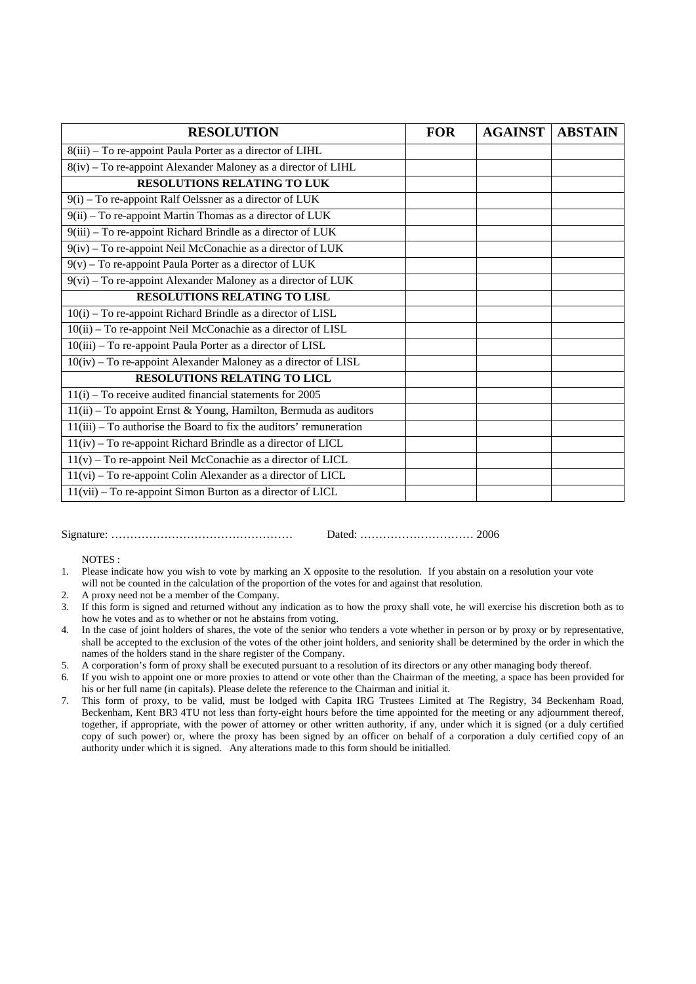| <b>RESOLUTION</b>                                                    | <b>FOR</b> | <b>AGAINST</b> | <b>ABSTAIN</b> |
|----------------------------------------------------------------------|------------|----------------|----------------|
| 8(iii) - To re-appoint Paula Porter as a director of LIHL            |            |                |                |
| 8(iv) - To re-appoint Alexander Maloney as a director of LIHL        |            |                |                |
| <b>RESOLUTIONS RELATING TO LUK</b>                                   |            |                |                |
| $9(i)$ – To re-appoint Ralf Oelssner as a director of LUK            |            |                |                |
| 9(ii) – To re-appoint Martin Thomas as a director of LUK             |            |                |                |
| 9(iii) - To re-appoint Richard Brindle as a director of LUK          |            |                |                |
| 9(iv) - To re-appoint Neil McConachie as a director of LUK           |            |                |                |
| $9(v)$ – To re-appoint Paula Porter as a director of LUK             |            |                |                |
| $9(vi)$ – To re-appoint Alexander Maloney as a director of LUK       |            |                |                |
| <b>RESOLUTIONS RELATING TO LISL</b>                                  |            |                |                |
| 10(i) – To re-appoint Richard Brindle as a director of LISL          |            |                |                |
| 10(ii) - To re-appoint Neil McConachie as a director of LISL         |            |                |                |
| 10(iii) - To re-appoint Paula Porter as a director of LISL           |            |                |                |
| 10(iv) - To re-appoint Alexander Maloney as a director of LISL       |            |                |                |
| <b>RESOLUTIONS RELATING TO LICL</b>                                  |            |                |                |
| $11(i)$ – To receive audited financial statements for 2005           |            |                |                |
| 11(ii) - To appoint Ernst & Young, Hamilton, Bermuda as auditors     |            |                |                |
| $11(iii)$ – To authorise the Board to fix the auditors' remuneration |            |                |                |
| $11(iv)$ – To re-appoint Richard Brindle as a director of LICL       |            |                |                |
| $11(v)$ – To re-appoint Neil McConachie as a director of LICL        |            |                |                |
| $11(vi)$ – To re-appoint Colin Alexander as a director of LICL       |            |                |                |
| 11(vii) – To re-appoint Simon Burton as a director of LICL           |            |                |                |

Signature: ………………………………………… Dated: ………………………… 2006

NOTES :

1. Please indicate how you wish to vote by marking an X opposite to the resolution. If you abstain on a resolution your vote will not be counted in the calculation of the proportion of the votes for and against that resolution.

- 2. A proxy need not be a member of the Company.
- 3. If this form is signed and returned without any indication as to how the proxy shall vote, he will exercise his discretion both as to how he votes and as to whether or not he abstains from voting.
- 4. In the case of joint holders of shares, the vote of the senior who tenders a vote whether in person or by proxy or by representative, shall be accepted to the exclusion of the votes of the other joint holders, and seniority shall be determined by the order in which the names of the holders stand in the share register of the Company.
- 5. A corporation's form of proxy shall be executed pursuant to a resolution of its directors or any other managing body thereof.
- 6. If you wish to appoint one or more proxies to attend or vote other than the Chairman of the meeting, a space has been provided for his or her full name (in capitals). Please delete the reference to the Chairman and initial it.
- 7. This form of proxy, to be valid, must be lodged with Capita IRG Trustees Limited at The Registry, 34 Beckenham Road, Beckenham, Kent BR3 4TU not less than forty-eight hours before the time appointed for the meeting or any adjournment thereof, together, if appropriate, with the power of attorney or other written authority, if any, under which it is signed (or a duly certified copy of such power) or, where the proxy has been signed by an officer on behalf of a corporation a duly certified copy of an authority under which it is signed. Any alterations made to this form should be initialled.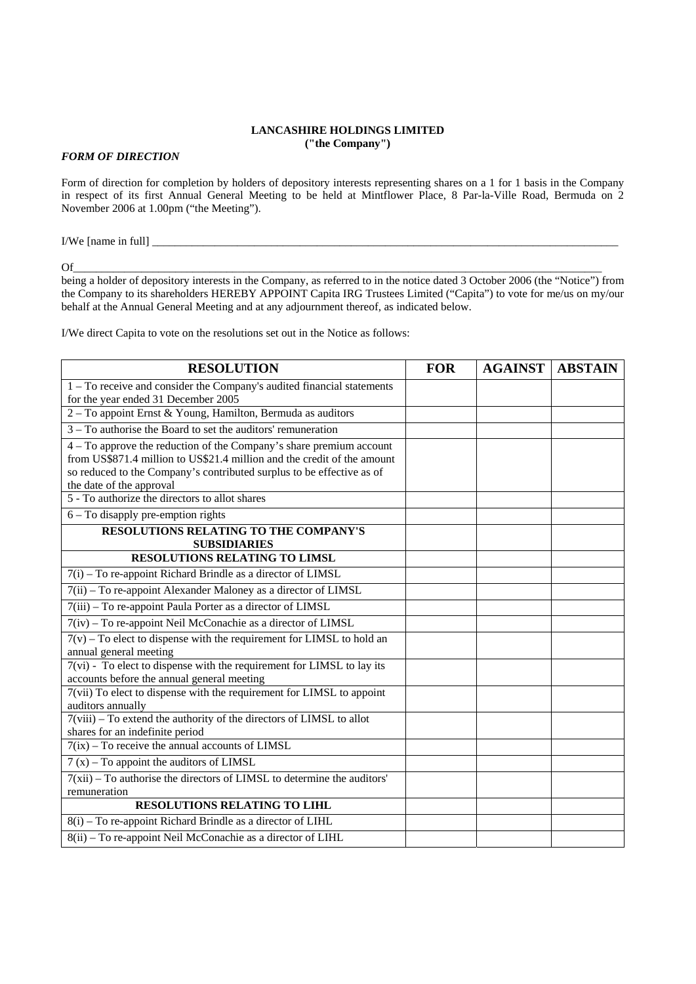#### **LANCASHIRE HOLDINGS LIMITED ("the Company")**

### *FORM OF DIRECTION*

Form of direction for completion by holders of depository interests representing shares on a 1 for 1 basis in the Company in respect of its first Annual General Meeting to be held at Mintflower Place, 8 Par-la-Ville Road, Bermuda on 2 November 2006 at 1.00pm ("the Meeting").

I/We [name in full] \_\_\_\_\_\_\_\_\_\_\_\_\_\_\_\_\_\_\_\_\_\_\_\_\_\_\_\_\_\_\_\_\_\_\_\_\_\_\_\_\_\_\_\_\_\_\_\_\_\_\_\_\_\_\_\_\_\_\_\_\_\_\_\_\_\_\_\_\_\_\_\_\_\_\_\_\_\_\_\_\_\_

 $\rm{Of}$   $\rm{Of}$  and  $\rm{O}$  and  $\rm{O}$  and  $\rm{O}$  and  $\rm{O}$  and  $\rm{O}$  and  $\rm{O}$  and  $\rm{O}$  and  $\rm{O}$  and  $\rm{O}$  and  $\rm{O}$  and  $\rm{O}$  and  $\rm{O}$  and  $\rm{O}$  and  $\rm{O}$  and  $\rm{O}$  and  $\rm{O}$  and  $\rm{O}$ 

being a holder of depository interests in the Company, as referred to in the notice dated 3 October 2006 (the "Notice") from the Company to its shareholders HEREBY APPOINT Capita IRG Trustees Limited ("Capita") to vote for me/us on my/our behalf at the Annual General Meeting and at any adjournment thereof, as indicated below.

I/We direct Capita to vote on the resolutions set out in the Notice as follows:

| <b>RESOLUTION</b>                                                                          | <b>FOR</b> | <b>AGAINST   ABSTAIN</b> |  |
|--------------------------------------------------------------------------------------------|------------|--------------------------|--|
| 1 - To receive and consider the Company's audited financial statements                     |            |                          |  |
| for the year ended 31 December 2005                                                        |            |                          |  |
| 2 - To appoint Ernst & Young, Hamilton, Bermuda as auditors                                |            |                          |  |
| $3 - To$ authorise the Board to set the auditors' remuneration                             |            |                          |  |
| 4 – To approve the reduction of the Company's share premium account                        |            |                          |  |
| from US\$871.4 million to US\$21.4 million and the credit of the amount                    |            |                          |  |
| so reduced to the Company's contributed surplus to be effective as of                      |            |                          |  |
| the date of the approval                                                                   |            |                          |  |
| 5 - To authorize the directors to allot shares                                             |            |                          |  |
| $6 - To display pre-emption rights$                                                        |            |                          |  |
| <b>RESOLUTIONS RELATING TO THE COMPANY'S</b><br><b>SUBSIDIARIES</b>                        |            |                          |  |
| <b>RESOLUTIONS RELATING TO LIMSL</b>                                                       |            |                          |  |
|                                                                                            |            |                          |  |
| $7(i)$ – To re-appoint Richard Brindle as a director of LIMSL                              |            |                          |  |
| $\overline{7(ii)}$ – To re-appoint Alexander Maloney as a director of LIMSL                |            |                          |  |
| 7(iii) - To re-appoint Paula Porter as a director of LIMSL                                 |            |                          |  |
| 7(iv) - To re-appoint Neil McConachie as a director of LIMSL                               |            |                          |  |
| $7(v)$ – To elect to dispense with the requirement for LIMSL to hold an                    |            |                          |  |
| annual general meeting                                                                     |            |                          |  |
| 7(vi) - To elect to dispense with the requirement for LIMSL to lay its                     |            |                          |  |
| accounts before the annual general meeting                                                 |            |                          |  |
| 7(vii) To elect to dispense with the requirement for LIMSL to appoint<br>auditors annually |            |                          |  |
| 7(viii) - To extend the authority of the directors of LIMSL to allot                       |            |                          |  |
| shares for an indefinite period                                                            |            |                          |  |
| $7(ix)$ – To receive the annual accounts of LIMSL                                          |            |                          |  |
| $7(x)$ – To appoint the auditors of LIMSL                                                  |            |                          |  |
| $7(xii)$ – To authorise the directors of LIMSL to determine the auditors'                  |            |                          |  |
| remuneration                                                                               |            |                          |  |
| <b>RESOLUTIONS RELATING TO LIHL</b>                                                        |            |                          |  |
| $8(i)$ – To re-appoint Richard Brindle as a director of LIHL                               |            |                          |  |
| $8(ii)$ – To re-appoint Neil McConachie as a director of LIHL                              |            |                          |  |